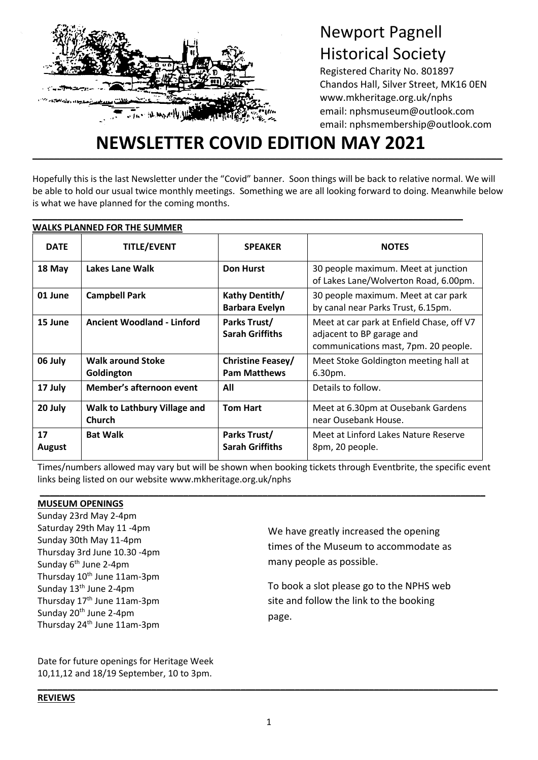

# Newport Pagnell Historical Society

Registered Charity No. 801897 Chandos Hall, Silver Street, MK16 0EN www.mkheritage.org.uk/nphs email: nphsmuseum@outlook.com email: nphsmembership@outlook.com

# **\_\_\_\_\_\_\_\_\_\_\_\_\_\_\_\_\_\_\_\_\_\_\_\_\_\_\_\_\_\_\_\_\_\_\_\_\_\_\_\_\_\_\_\_\_\_\_\_\_\_\_\_\_\_\_\_\_\_\_\_\_\_\_\_\_\_\_\_\_\_\_\_\_\_\_\_\_\_\_\_\_\_\_\_\_\_\_ NEWSLETTER COVID EDITION MAY 2021**

Hopefully this is the last Newsletter under the "Covid" banner. Soon things will be back to relative normal. We will be able to hold our usual twice monthly meetings. Something we are all looking forward to doing. Meanwhile below is what we have planned for the coming months.

**\_\_\_\_\_\_\_\_\_\_\_\_\_\_\_\_\_\_\_\_\_\_\_\_\_\_\_\_\_\_\_\_\_\_\_\_\_\_\_\_\_\_\_\_\_\_\_\_\_\_\_\_\_\_\_\_\_\_\_\_\_\_\_\_\_\_\_\_\_\_\_\_\_\_\_\_\_\_\_\_\_\_\_\_\_\_\_**

| <b>WALKS PLANNED FOR THE SUMMER</b> |                                                      |                                          |                                                                                                                |
|-------------------------------------|------------------------------------------------------|------------------------------------------|----------------------------------------------------------------------------------------------------------------|
| <b>DATE</b>                         | <b>TITLE/EVENT</b>                                   | <b>SPEAKER</b>                           | <b>NOTES</b>                                                                                                   |
| 18 May                              | Lakes Lane Walk                                      | <b>Don Hurst</b>                         | 30 people maximum. Meet at junction<br>of Lakes Lane/Wolverton Road, 6.00pm.                                   |
| 01 June                             | <b>Campbell Park</b>                                 | Kathy Dentith/<br><b>Barbara Evelyn</b>  | 30 people maximum. Meet at car park<br>by canal near Parks Trust, 6.15pm.                                      |
| 15 June                             | <b>Ancient Woodland - Linford</b>                    | Parks Trust/<br><b>Sarah Griffiths</b>   | Meet at car park at Enfield Chase, off V7<br>adjacent to BP garage and<br>communications mast, 7pm. 20 people. |
| 06 July                             | <b>Walk around Stoke</b><br>Goldington               | Christine Feasey/<br><b>Pam Matthews</b> | Meet Stoke Goldington meeting hall at<br>6.30pm.                                                               |
| 17 July                             | Member's afternoon event                             | All                                      | Details to follow.                                                                                             |
| 20 July                             | <b>Walk to Lathbury Village and</b><br><b>Church</b> | <b>Tom Hart</b>                          | Meet at 6.30pm at Ousebank Gardens<br>near Ousebank House.                                                     |
| 17<br><b>August</b>                 | <b>Bat Walk</b>                                      | Parks Trust/<br><b>Sarah Griffiths</b>   | Meet at Linford Lakes Nature Reserve<br>8pm, 20 people.                                                        |

Times/numbers allowed may vary but will be shown when booking tickets through Eventbrite, the specific event links being listed on our website www.mkheritage.org.uk/nphs

**\_\_\_\_\_\_\_\_\_\_\_\_\_\_\_\_\_\_\_\_\_\_\_\_\_\_\_\_\_\_\_\_\_\_\_\_\_\_\_\_\_\_\_\_\_\_\_\_\_\_\_\_\_\_\_\_\_\_\_\_\_\_\_\_\_\_\_\_\_\_\_\_\_\_\_\_\_\_\_\_\_\_\_\_\_\_\_\_\_\_**

## **MUSEUM OPENINGS**

t

Sunday 23rd May 2-4pm Saturday 29th May 11 -4pm Sunday 30th May 11-4pm Thursday 3rd June 10.30 -4pm Sunday 6<sup>th</sup> June 2-4pm Thursday 10<sup>th</sup> June 11am-3pm Sunday 13<sup>th</sup> June 2-4pm Thursday 17<sup>th</sup> June 11am-3pm Sunday 20<sup>th</sup> June 2-4pm Thursday 24th June 11am-3pm

We have greatly increased the opening times of the Museum to accommodate as many people as possible.

To book a slot please go to the NPHS web site and follow the link to the booking page.

Date for future openings for Heritage Week 10,11,12 and 18/19 September, 10 to 3pm.

**\_\_\_\_\_\_\_\_\_\_\_\_\_\_\_\_\_\_\_\_\_\_\_\_\_\_\_\_\_\_\_\_\_\_\_\_\_\_\_\_\_\_\_\_\_\_\_\_\_\_\_\_\_\_\_\_\_\_\_\_\_\_\_\_\_\_\_\_\_\_\_\_\_\_\_\_\_\_\_\_\_\_\_\_\_\_\_\_\_\_\_\_\_**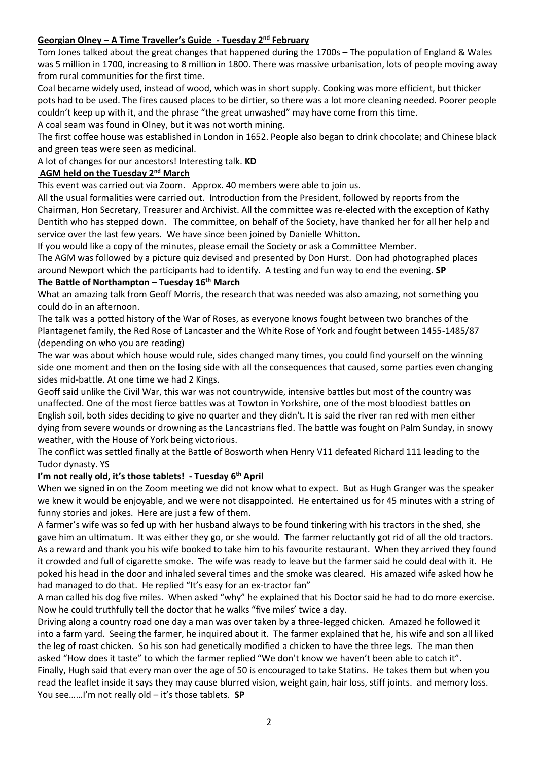# **Georgian Olney – A Time Traveller's Guide - Tuesday 2nd February**

Tom Jones talked about the great changes that happened during the 1700s – The population of England & Wales was 5 million in 1700, increasing to 8 million in 1800. There was massive urbanisation, lots of people moving away from rural communities for the first time.

Coal became widely used, instead of wood, which was in short supply. Cooking was more efficient, but thicker pots had to be used. The fires caused places to be dirtier, so there was a lot more cleaning needed. Poorer people couldn't keep up with it, and the phrase "the great unwashed" may have come from this time.

A coal seam was found in Olney, but it was not worth mining.

The first coffee house was established in London in 1652. People also began to drink chocolate; and Chinese black and green teas were seen as medicinal.

A lot of changes for our ancestors! Interesting talk. **KD**

# **AGM held on the Tuesday 2nd March**

This event was carried out via Zoom. Approx. 40 members were able to join us.

All the usual formalities were carried out. Introduction from the President, followed by reports from the Chairman, Hon Secretary, Treasurer and Archivist. All the committee was re-elected with the exception of Kathy Dentith who has stepped down. The committee, on behalf of the Society, have thanked her for all her help and service over the last few years. We have since been joined by Danielle Whitton.

If you would like a copy of the minutes, please email the Society or ask a Committee Member.

The AGM was followed by a picture quiz devised and presented by Don Hurst. Don had photographed places around Newport which the participants had to identify. A testing and fun way to end the evening. **SP**

# **The Battle of Northampton – Tuesday 16th March**

What an amazing talk from Geoff Morris, the research that was needed was also amazing, not something you could do in an afternoon.

The talk was a potted history of the War of Roses, as everyone knows fought between two branches of the Plantagenet family, the Red Rose of Lancaster and the White Rose of York and fought between 1455-1485/87 (depending on who you are reading)

The war was about which house would rule, sides changed many times, you could find yourself on the winning side one moment and then on the losing side with all the consequences that caused, some parties even changing sides mid-battle. At one time we had 2 Kings.

Geoff said unlike the Civil War, this war was not countrywide, intensive battles but most of the country was unaffected. One of the most fierce battles was at Towton in Yorkshire, one of the most bloodiest battles on English soil, both sides deciding to give no quarter and they didn't. It is said the river ran red with men either dying from severe wounds or drowning as the Lancastrians fled. The battle was fought on Palm Sunday, in snowy weather, with the House of York being victorious.

The conflict was settled finally at the Battle of Bosworth when Henry V11 defeated Richard 111 leading to the Tudor dynasty. YS

#### **I'm not really old, it's those tablets! - Tuesday 6 th April**

When we signed in on the Zoom meeting we did not know what to expect. But as Hugh Granger was the speaker we knew it would be enjoyable, and we were not disappointed. He entertained us for 45 minutes with a string of funny stories and jokes. Here are just a few of them.

A farmer's wife was so fed up with her husband always to be found tinkering with his tractors in the shed, she gave him an ultimatum. It was either they go, or she would. The farmer reluctantly got rid of all the old tractors. As a reward and thank you his wife booked to take him to his favourite restaurant. When they arrived they found it crowded and full of cigarette smoke. The wife was ready to leave but the farmer said he could deal with it. He poked his head in the door and inhaled several times and the smoke was cleared. His amazed wife asked how he had managed to do that. He replied "It's easy for an ex-tractor fan"

A man called his dog five miles. When asked "why" he explained that his Doctor said he had to do more exercise. Now he could truthfully tell the doctor that he walks "five miles' twice a day.

Driving along a country road one day a man was over taken by a three-legged chicken. Amazed he followed it into a farm yard. Seeing the farmer, he inquired about it. The farmer explained that he, his wife and son all liked the leg of roast chicken. So his son had genetically modified a chicken to have the three legs. The man then asked "How does it taste" to which the farmer replied "We don't know we haven't been able to catch it".

Finally, Hugh said that every man over the age of 50 is encouraged to take Statins. He takes them but when you read the leaflet inside it says they may cause blurred vision, weight gain, hair loss, stiff joints. and memory loss. You see……I'm not really old – it's those tablets. **SP**